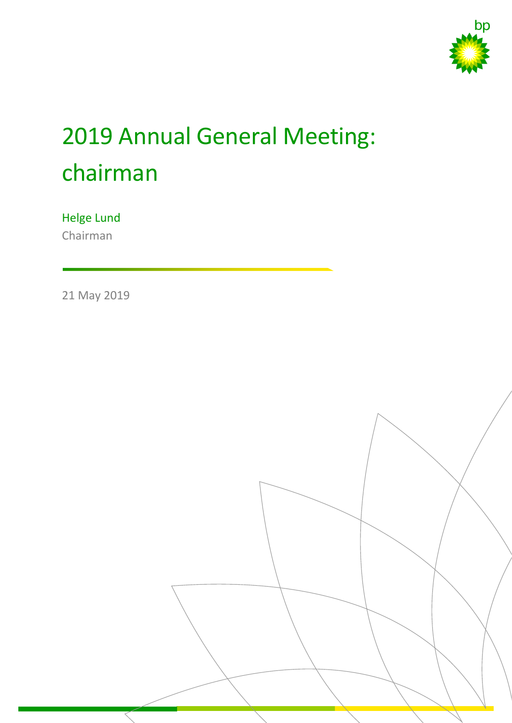

# 2019 Annual General Meeting: chairman

## Helge Lund

Chairman

21 May 2019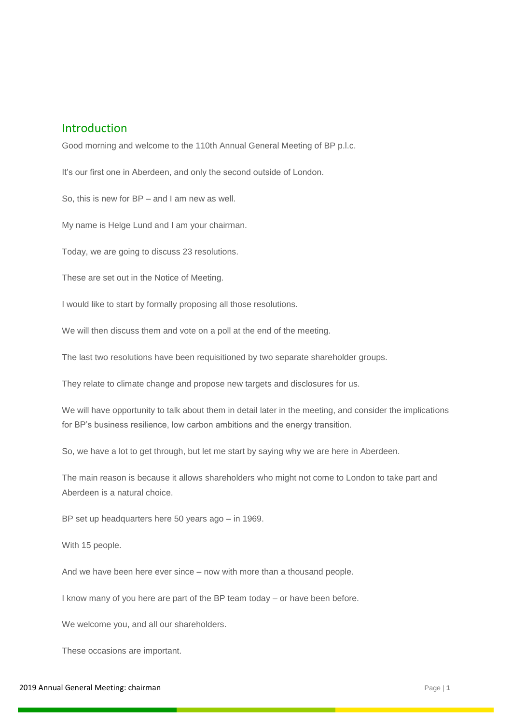### Introduction

Good morning and welcome to the 110th Annual General Meeting of BP p.l.c.

It's our first one in Aberdeen, and only the second outside of London.

So, this is new for BP – and I am new as well.

My name is Helge Lund and I am your chairman.

Today, we are going to discuss 23 resolutions.

These are set out in the Notice of Meeting.

I would like to start by formally proposing all those resolutions.

We will then discuss them and vote on a poll at the end of the meeting.

The last two resolutions have been requisitioned by two separate shareholder groups.

They relate to climate change and propose new targets and disclosures for us.

We will have opportunity to talk about them in detail later in the meeting, and consider the implications for BP's business resilience, low carbon ambitions and the energy transition.

So, we have a lot to get through, but let me start by saying why we are here in Aberdeen.

The main reason is because it allows shareholders who might not come to London to take part and Aberdeen is a natural choice.

BP set up headquarters here 50 years ago – in 1969.

With 15 people.

And we have been here ever since – now with more than a thousand people.

I know many of you here are part of the BP team today – or have been before.

We welcome you, and all our shareholders.

These occasions are important.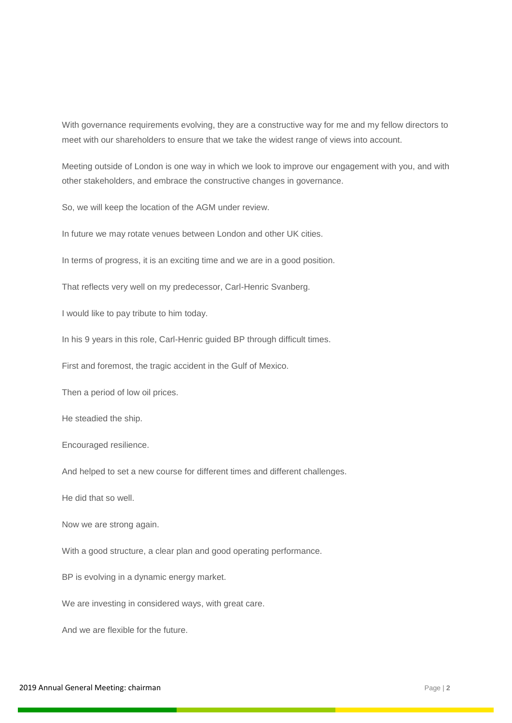With governance requirements evolving, they are a constructive way for me and my fellow directors to meet with our shareholders to ensure that we take the widest range of views into account.

Meeting outside of London is one way in which we look to improve our engagement with you, and with other stakeholders, and embrace the constructive changes in governance.

So, we will keep the location of the AGM under review.

In future we may rotate venues between London and other UK cities.

In terms of progress, it is an exciting time and we are in a good position.

That reflects very well on my predecessor, Carl-Henric Svanberg.

I would like to pay tribute to him today.

In his 9 years in this role, Carl-Henric guided BP through difficult times.

First and foremost, the tragic accident in the Gulf of Mexico.

Then a period of low oil prices.

He steadied the ship.

Encouraged resilience.

And helped to set a new course for different times and different challenges.

He did that so well.

Now we are strong again.

With a good structure, a clear plan and good operating performance.

BP is evolving in a dynamic energy market.

We are investing in considered ways, with great care.

And we are flexible for the future.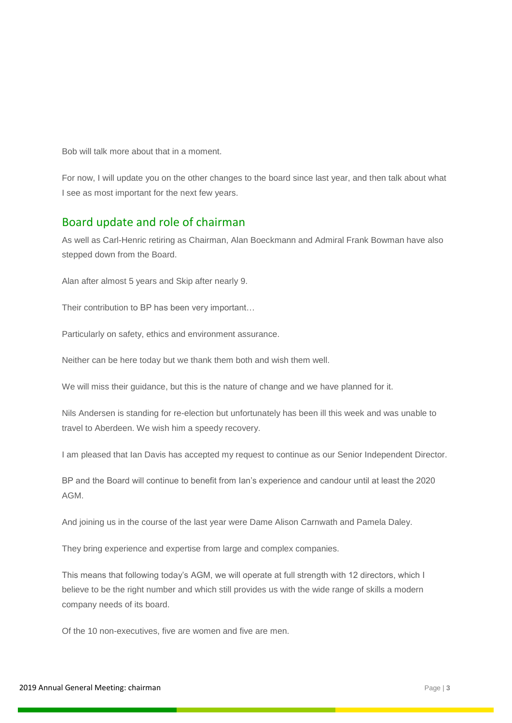Bob will talk more about that in a moment.

For now, I will update you on the other changes to the board since last year, and then talk about what I see as most important for the next few years.

### Board update and role of chairman

As well as Carl-Henric retiring as Chairman, Alan Boeckmann and Admiral Frank Bowman have also stepped down from the Board.

Alan after almost 5 years and Skip after nearly 9.

Their contribution to BP has been very important…

Particularly on safety, ethics and environment assurance.

Neither can be here today but we thank them both and wish them well.

We will miss their guidance, but this is the nature of change and we have planned for it.

Nils Andersen is standing for re-election but unfortunately has been ill this week and was unable to travel to Aberdeen. We wish him a speedy recovery.

I am pleased that Ian Davis has accepted my request to continue as our Senior Independent Director.

BP and the Board will continue to benefit from Ian's experience and candour until at least the 2020 AGM.

And joining us in the course of the last year were Dame Alison Carnwath and Pamela Daley.

They bring experience and expertise from large and complex companies.

This means that following today's AGM, we will operate at full strength with 12 directors, which I believe to be the right number and which still provides us with the wide range of skills a modern company needs of its board.

Of the 10 non-executives, five are women and five are men.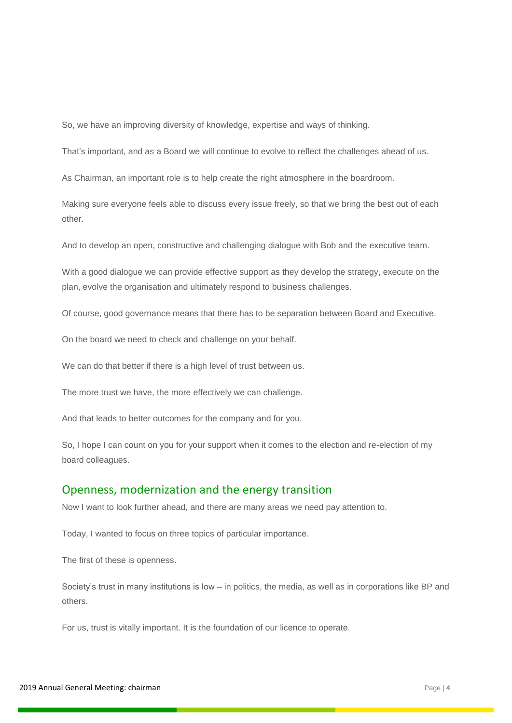So, we have an improving diversity of knowledge, expertise and ways of thinking.

That's important, and as a Board we will continue to evolve to reflect the challenges ahead of us.

As Chairman, an important role is to help create the right atmosphere in the boardroom.

Making sure everyone feels able to discuss every issue freely, so that we bring the best out of each other.

And to develop an open, constructive and challenging dialogue with Bob and the executive team.

With a good dialogue we can provide effective support as they develop the strategy, execute on the plan, evolve the organisation and ultimately respond to business challenges.

Of course, good governance means that there has to be separation between Board and Executive.

On the board we need to check and challenge on your behalf.

We can do that better if there is a high level of trust between us.

The more trust we have, the more effectively we can challenge.

And that leads to better outcomes for the company and for you.

So, I hope I can count on you for your support when it comes to the election and re-election of my board colleagues.

#### Openness, modernization and the energy transition

Now I want to look further ahead, and there are many areas we need pay attention to.

Today, I wanted to focus on three topics of particular importance.

The first of these is openness.

Society's trust in many institutions is low – in politics, the media, as well as in corporations like BP and others.

For us, trust is vitally important. It is the foundation of our licence to operate.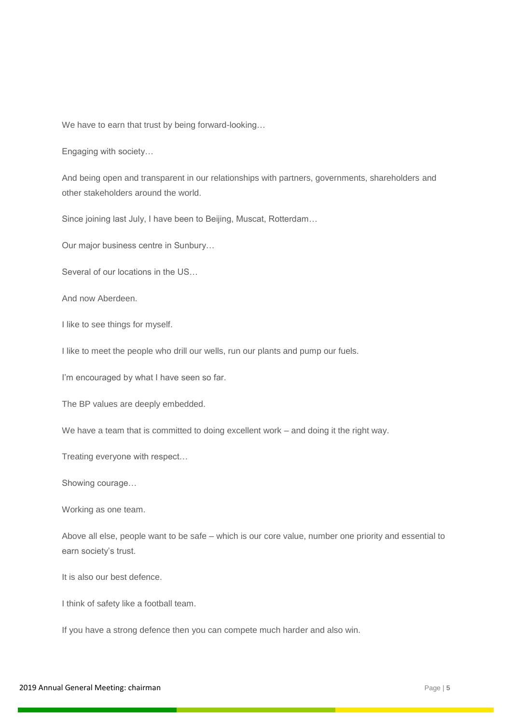We have to earn that trust by being forward-looking…

Engaging with society…

And being open and transparent in our relationships with partners, governments, shareholders and other stakeholders around the world.

Since joining last July, I have been to Beijing, Muscat, Rotterdam…

Our major business centre in Sunbury…

Several of our locations in the US…

And now Aberdeen.

I like to see things for myself.

I like to meet the people who drill our wells, run our plants and pump our fuels.

I'm encouraged by what I have seen so far.

The BP values are deeply embedded.

We have a team that is committed to doing excellent work – and doing it the right way.

Treating everyone with respect…

Showing courage…

Working as one team.

Above all else, people want to be safe – which is our core value, number one priority and essential to earn society's trust.

It is also our best defence.

I think of safety like a football team.

If you have a strong defence then you can compete much harder and also win.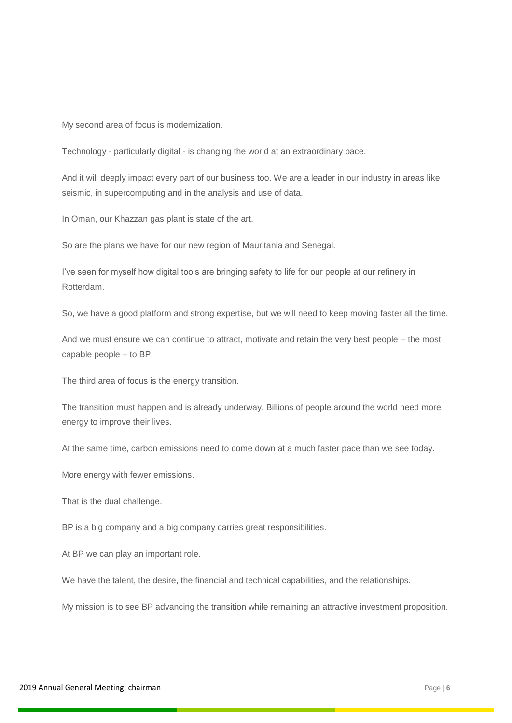My second area of focus is modernization.

Technology - particularly digital - is changing the world at an extraordinary pace.

And it will deeply impact every part of our business too. We are a leader in our industry in areas like seismic, in supercomputing and in the analysis and use of data.

In Oman, our Khazzan gas plant is state of the art.

So are the plans we have for our new region of Mauritania and Senegal.

I've seen for myself how digital tools are bringing safety to life for our people at our refinery in Rotterdam.

So, we have a good platform and strong expertise, but we will need to keep moving faster all the time.

And we must ensure we can continue to attract, motivate and retain the very best people – the most capable people – to BP.

The third area of focus is the energy transition.

The transition must happen and is already underway. Billions of people around the world need more energy to improve their lives.

At the same time, carbon emissions need to come down at a much faster pace than we see today.

More energy with fewer emissions.

That is the dual challenge.

BP is a big company and a big company carries great responsibilities.

At BP we can play an important role.

We have the talent, the desire, the financial and technical capabilities, and the relationships.

My mission is to see BP advancing the transition while remaining an attractive investment proposition.